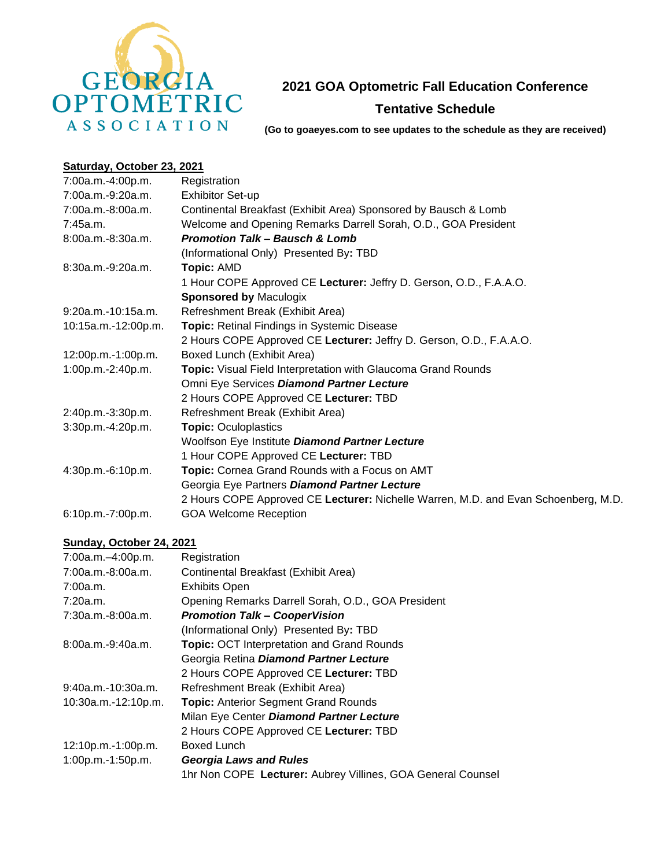

## **2021 GOA Optometric Fall Education Conference**

## **Tentative Schedule**

**(Go to goaeyes.com to see updates to the schedule as they are received)**

## **Saturday, October 23, 2021**

| 7:00a.m.-4:00p.m.    | Registration                                                                       |
|----------------------|------------------------------------------------------------------------------------|
| 7:00a.m.-9:20a.m.    | <b>Exhibitor Set-up</b>                                                            |
| 7:00a.m.-8:00a.m.    | Continental Breakfast (Exhibit Area) Sponsored by Bausch & Lomb                    |
| 7:45a.m.             | Welcome and Opening Remarks Darrell Sorah, O.D., GOA President                     |
| 8:00a.m.-8:30a.m.    | <b>Promotion Talk - Bausch &amp; Lomb</b>                                          |
|                      | (Informational Only) Presented By: TBD                                             |
| $8:30a.m.-9:20a.m.$  | <b>Topic: AMD</b>                                                                  |
|                      | 1 Hour COPE Approved CE Lecturer: Jeffry D. Gerson, O.D., F.A.A.O.                 |
|                      | <b>Sponsored by Maculogix</b>                                                      |
| $9:20a.m.-10:15a.m.$ | Refreshment Break (Exhibit Area)                                                   |
| 10:15a.m.-12:00p.m.  | <b>Topic:</b> Retinal Findings in Systemic Disease                                 |
|                      | 2 Hours COPE Approved CE Lecturer: Jeffry D. Gerson, O.D., F.A.A.O.                |
| 12:00p.m.-1:00p.m.   | Boxed Lunch (Exhibit Area)                                                         |
| 1:00p.m.-2:40p.m.    | Topic: Visual Field Interpretation with Glaucoma Grand Rounds                      |
|                      | Omni Eye Services Diamond Partner Lecture                                          |
|                      | 2 Hours COPE Approved CE Lecturer: TBD                                             |
| 2:40p.m.-3:30p.m.    | Refreshment Break (Exhibit Area)                                                   |
| 3:30p.m.-4:20p.m.    | <b>Topic: Oculoplastics</b>                                                        |
|                      | Woolfson Eye Institute Diamond Partner Lecture                                     |
|                      | 1 Hour COPE Approved CE Lecturer: TBD                                              |
| 4:30p.m.-6:10p.m.    | Topic: Cornea Grand Rounds with a Focus on AMT                                     |
|                      | Georgia Eye Partners Diamond Partner Lecture                                       |
|                      | 2 Hours COPE Approved CE Lecturer: Nichelle Warren, M.D. and Evan Schoenberg, M.D. |
| 6:10p.m.-7:00p.m.    | <b>GOA Welcome Reception</b>                                                       |

## **Sunday, October 24, 2021**

| 7:00a.m.-4:00p.m.    | Registration                                                |
|----------------------|-------------------------------------------------------------|
| 7:00a.m.-8:00a.m.    | Continental Breakfast (Exhibit Area)                        |
| 7:00a.m.             | <b>Exhibits Open</b>                                        |
| 7:20a.m.             | Opening Remarks Darrell Sorah, O.D., GOA President          |
| 7:30a.m.-8:00a.m.    | <b>Promotion Talk - CooperVision</b>                        |
|                      | (Informational Only) Presented By: TBD                      |
| $8:00a.m.-9:40a.m.$  | <b>Topic: OCT Interpretation and Grand Rounds</b>           |
|                      | Georgia Retina Diamond Partner Lecture                      |
|                      | 2 Hours COPE Approved CE Lecturer: TBD                      |
| $9:40a.m.-10:30a.m.$ | Refreshment Break (Exhibit Area)                            |
| 10:30a.m.-12:10p.m.  | <b>Topic: Anterior Segment Grand Rounds</b>                 |
|                      | Milan Eye Center Diamond Partner Lecture                    |
|                      | 2 Hours COPE Approved CE Lecturer: TBD                      |
| 12:10p.m.-1:00p.m.   | Boxed Lunch                                                 |
| 1:00p.m.-1:50p.m.    | <b>Georgia Laws and Rules</b>                               |
|                      | 1hr Non COPE Lecturer: Aubrey Villines, GOA General Counsel |